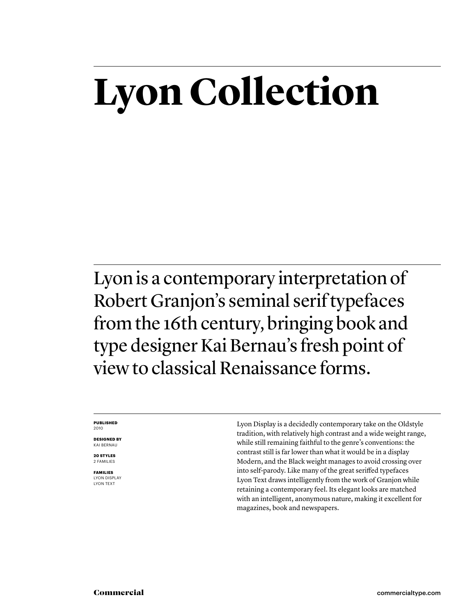# **Lyon Collection**

Lyon is a contemporary interpretation of Robert Granjon's seminal serif typefaces from the 16th century, bringing book and type designer Kai Bernau's fresh point of view to classical Renaissance forms.

### **PUBLISHED** 2010

**DESIGNED BY** KAI BERNAU

**20 STYLES** 2 FAMILIES

**FAMILIES** LYON DISPLAY LYON TEXT Lyon Display is a decidedly contemporary take on the Oldstyle tradition, with relatively high contrast and a wide weight range, while still remaining faithful to the genre's conventions: the contrast still is far lower than what it would be in a display Modern, and the Black weight manages to avoid crossing over into self-parody. Like many of the great seriffed typefaces Lyon Text draws intelligently from the work of Granjon while retaining a contemporary feel. Its elegant looks are matched with an intelligent, anonymous nature, making it excellent for magazines, book and newspapers.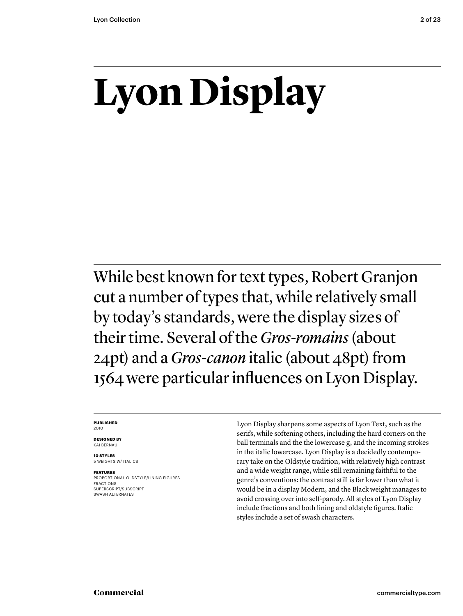# **Lyon Display**

While best known for text types, Robert Granjon cut a number of types that, while relatively small by today's standards, were the display sizes of their time. Several of the *Gros-romains* (about 24pt) and a *Gros-canon* italic (about 48pt) from 1564 were particular influences on Lyon Display.

### **PUBLISHED** 2010

**DESIGNED BY**

KAI BERNAU **10 STYLES**

5 WEIGHTS W/ ITALICS

# **FEATURES**

PROPORTIONAL OLDSTYLE/LINING FIGURES FRACTIONS SUPERSCRIPT/SUBSCRIPT SWASH ALTERNATES

Lyon Display sharpens some aspects of Lyon Text, such as the serifs, while softening others, including the hard corners on the ball terminals and the the lowercase g, and the incoming strokes in the italic lowercase. Lyon Display is a decidedly contemporary take on the Oldstyle tradition, with relatively high contrast and a wide weight range, while still remaining faithful to the genre's conventions: the contrast still is far lower than what it would be in a display Modern, and the Black weight manages to avoid crossing over into self-parody. All styles of Lyon Display include fractions and both lining and oldstyle figures. Italic styles include a set of swash characters.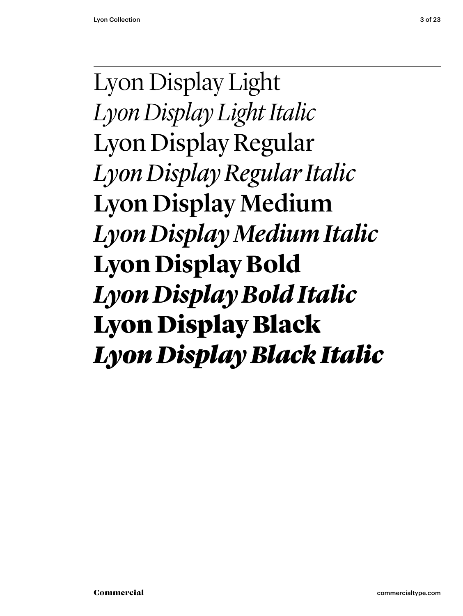Lyon Display Light *Lyon Display Light Italic* Lyon Display Regular *Lyon Display Regular Italic* Lyon Display Medium *Lyon Display Medium Italic* **Lyon Display Bold** *Lyon Display Bold Italic* Lyon Display Black *Lyon Display Black Italic*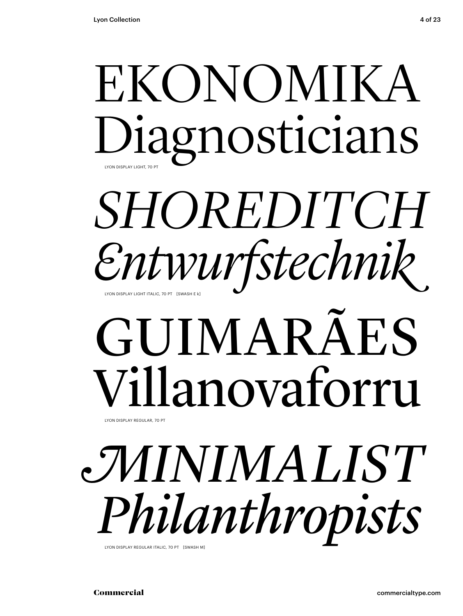# EKONOMIKA Diagnosticians LYON DISPLAY LIGHT, 70 PT

# *SHOREDITCH Entwurfstechnik* LYON DISPLAY LIGHT ITALIC, 70 PT [SWASH E k]

# GUIMARÃES Villanovaforru

*MINIMALIST Philanthropists* 

Commercial commercialtype.com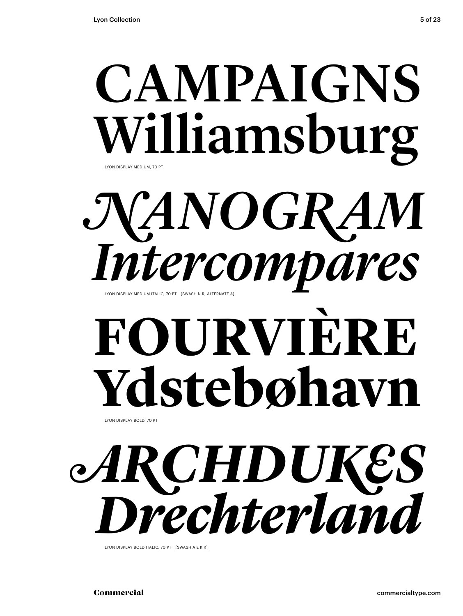# CAMPAIGNS Williamsburg LYON DISPLAY MEDIUM, 70 PT

*NANOGRAM Intercompare in particompare a* 

# **FOURVIÈRE** Ydstebøhavn

*ARCHDUKES* **Drechter/Jan Display Rochter**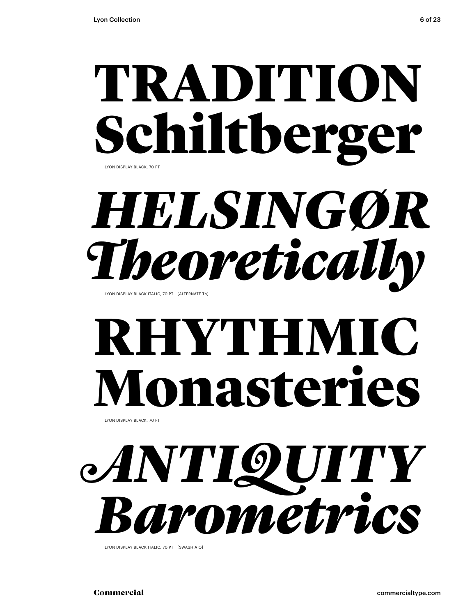# TRADITION Schiltberger LYON DISPLAY BLACK, 70 PT

# *HELSINGØR* **Theoretically Reported Callty**

# **RHYTHMI** Ionasteries

LYON DISPLAY BLACK, 70 PT

# *ANTIQUITY* **Barometric Control Display Actor**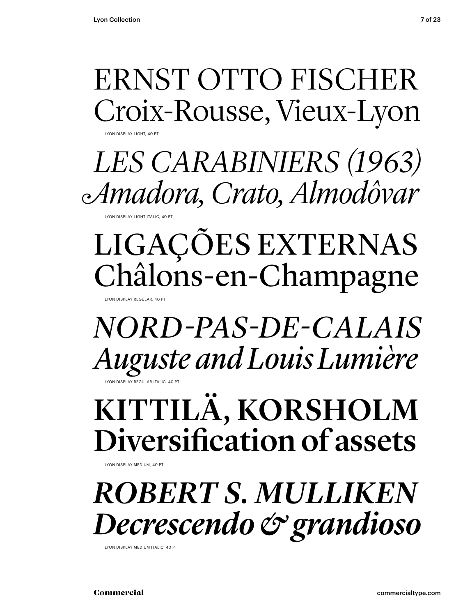# ERNST OTTO FISCHER Croix-Rousse, Vieux-Lyon

LYON DISPLAY LIGHT, 40 PT

 *LES CARABINIERS (1963) Amadora, Crato, Almodôvar*

LYON DISPLAY LIGHT ITALIC, 40 PT

# LIGAÇÕES EXTERNAS Châlons-en-Champagne

LYON DISPLAY REGULAR, 40 PT

LYON DISPLAY REGULAR ITALIC, 40 PT *NORD-PAS-DE-CALAIS Auguste and Louis Lumière*

KITTILÄ, KORSHOLM Diversification of assets

LYON DISPLAY MEDIUM, 40 PT

*ROBERT S. MULLIKEN Decrescendo & grandioso*

LYON DISPLAY MEDIUM ITALIC, 40 PT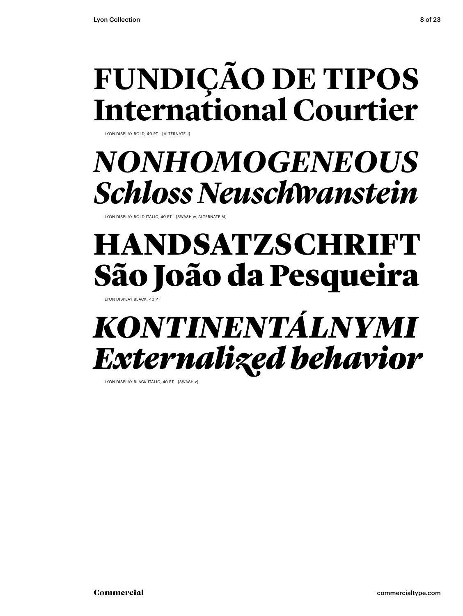# **FUNDIÇÃO DE TIPOS International Courtier**

LYON DISPLAY BOLD, 40 PT [ALTERNATE J]

# *NONHOMOGENEOUS Schloss Neuschwanstein*

LYON DISPLAY BOLD ITALIC, 40 PT [SWASH w, ALTERNATE M]

# HANDSATZSCHRI São João da Pesqueira

LYON DISPLAY BLACK, 40 PT

# *KONTINENTÁLNYMI Externalized behavior*

LYON DISPLAY BLACK ITALIC, 40 PT [SWASH z]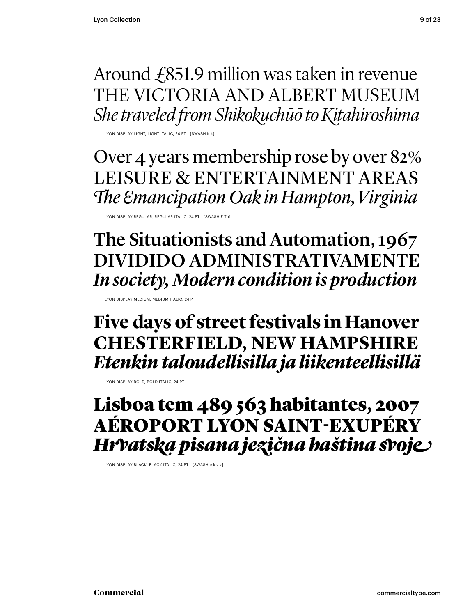Around £851.9 million was taken in revenue THE VICTORIA AND ALBERT MUSEUM *She traveled from Shikokuchūō to Kitahiroshima*

LYON DISPLAY LIGHT, LIGHT ITALIC, 24 PT [SWASH K k]

Over 4 years membership rose by over 82% LEISURE & ENTERTAINMENT AREAS **The Emancipation Oak in Hampton, Virginia** 

LYON DISPLAY REGULAR, REGULAR ITALIC, 24 PT [SWASH E Th]

The Situationists and Automation, 1967 DIVIDIDO ADMINISTRATIVAMENTE *In society, Modern condition is production*

LYON DISPLAY MEDIUM, MEDIUM ITALIC, 24 PT

**Five days of street festivals in Hanover CHESTERFIELD, NEW HAMPSHIRE** *Etenkin taloudellisilla ja liikenteellisillä* 

LYON DISPLAY BOLD, BOLD ITALIC, 24 PT

Lisboa tem 489 563 habitantes, 2007 AÉROPORT LYON SAINT-EXUPÉRY *Hrvatska pisana jezična baština svoje*

LYON DISPLAY BLACK, BLACK ITALIC, 24 PT [SWASH e k v z]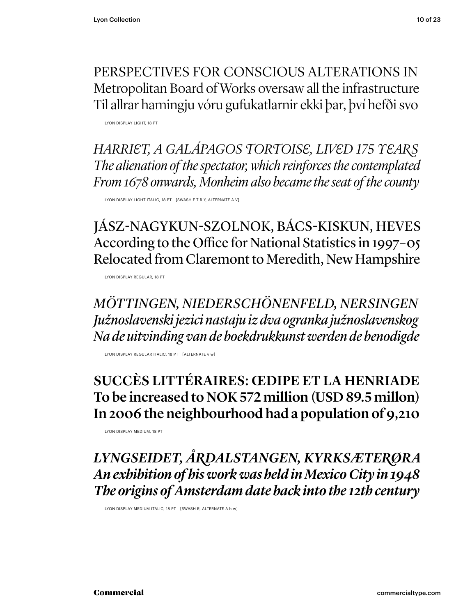PERSPECTIVES FOR CONSCIOUS ALTERATIONS IN Metropolitan Board of Works oversaw all the infrastructure Til allrar hamingju vóru gufukatlarnir ekki þar, því hefði svo

LYON DISPLAY LIGHT, 18 PT

*HARRIET, A GALÁPAGOS TORTOISE, LIVED 175 YEARS The alienation of the spectator, which reinforces the contemplated From 1678 onwards, Monheim also became the seat of the county*

LYON DISPLAY LIGHT ITALIC, 18 PT [SWASH E T R Y, ALTERNATE A V]

JÁSZ-NAGYKUN-SZOLNOK, BÁCS-KISKUN, HEVES According to the Office for National Statistics in 1997–05 Relocated from Claremont to Meredith, New Hampshire

LYON DISPLAY REGULAR, 18 PT

*MÖTTINGEN, NIEDERSCHÖNENFELD, NERSINGEN Južnoslavenski jezici nastaju iz dva ogranka južnoslavenskog Na de uitvinding van de boekdrukkunst werden de benodigde*

LYON DISPLAY REGULAR ITALIC, 18 PT [ALTERNATE v w]

# SUCCÈS LITTÉRAIRES: ŒDIPE ET LA HENRIADE To be increased to NOK 572 million (USD 89.5 millon) In 2006 the neighbourhood had a population of 9,210

LYON DISPLAY MEDIUM, 18 PT

*LYNGSEIDET, ÅRDALSTANGEN, KYRKSÆTERØRA An exhibition of his work was held in Mexico City in 1948 The origins of Amsterdam date back into the 12th century*

LYON DISPLAY MEDIUM ITALIC, 18 PT [SWASH R, ALTERNATE A h w]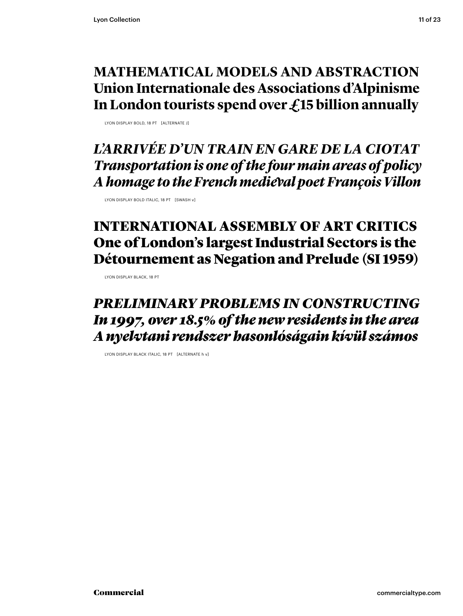# **MATHEMATICAL MODELS AND ABSTRACTION Union Internationale des Associations d'Alpinisme In London tourists spend over £15 billion annually**

LYON DISPLAY BOLD, 18 PT [ALTERNATE J]

*L'ARRIVÉE D'UN TRAIN EN GARE DE LA CIOTAT Transportation is one of the four main areas of policy A homage to the French medieval poet François Villon*

LYON DISPLAY BOLD ITALIC, 18 PT [SWASH v]

# INTERNATIONAL ASSEMBLY OF ART CRITICS One of London's largest Industrial Sectors is the Détournement as Negation and Prelude (SI 1959)

LYON DISPLAY BLACK, 18 PT

# *PRELIMINARY PROBLEMS IN CONSTRUCTING In 1997, over 18.5% of the new residents in the area A nyelvtani rendszer hasonlóságain kívül számos*

LYON DISPLAY BLACK ITALIC, 18 PT [ALTERNATE h v]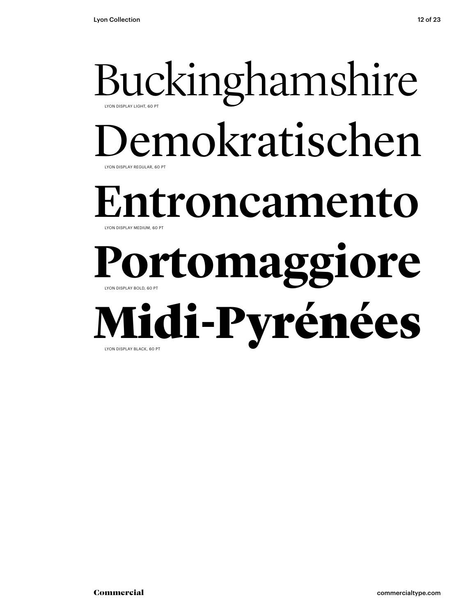# Buckinghamshire LYON DISPLAY REGULAR, 60 PT LYON DISPLAY LIGHT, 60 PT emokratischen Entroncamento LYON DISPLAY BOLD, 60 PT LYON DISPLAY MEDIUM, 60 PT **Portomaggiore** Midi-Pyrénées LYON DISPLAY BLACK, 60 PT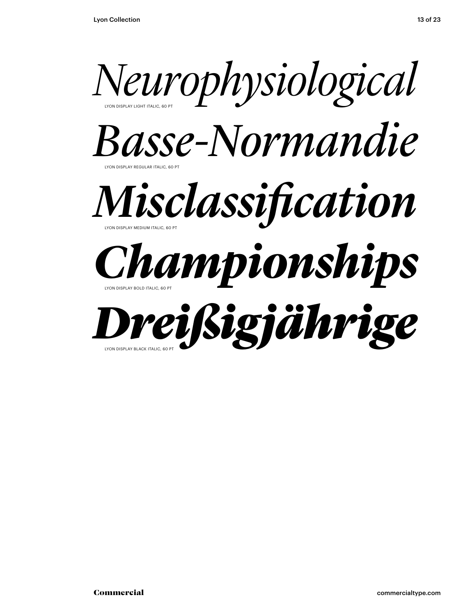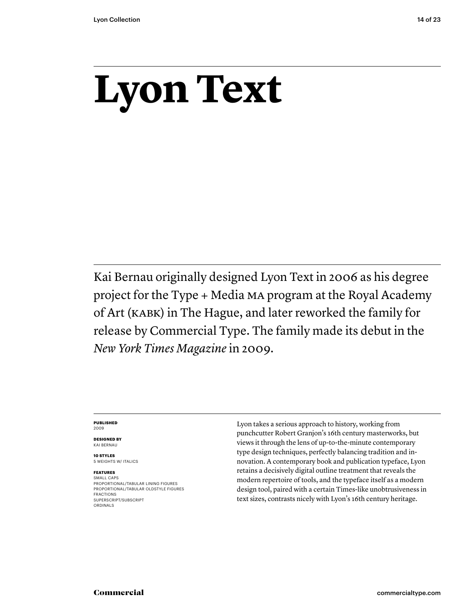# **Lyon Text**

Kai Bernau originally designed Lyon Text in 2006 as his degree project for the Type + Media MA program at the Royal Academy of Art (KABK) in The Hague, and later reworked the family for release by Commercial Type. The family made its debut in the *New York Times Magazine* in 2009.

### **PUBLISHED** 2009

**DESIGNED BY** KAI BERNAU

**10 STYLES** 5 WEIGHTS W/ ITALICS

# **FEATURES**

SMALL CAPS PROPORTIONAL/TABULAR LINING FIGURES PROPORTIONAL/TABULAR OLDSTYLE FIGURES FRACTIONS SUPERSCRIPT/SUBSCRIPT ORDINALS

Lyon takes a serious approach to history, working from punchcutter Robert Granjon's 16th century masterworks, but views it through the lens of up-to-the-minute contemporary type design techniques, perfectly balancing tradition and innovation. A contemporary book and publication typeface, Lyon retains a decisively digital outline treatment that reveals the modern repertoire of tools, and the typeface itself as a modern design tool, paired with a certain Times-like unobtrusiveness in text sizes, contrasts nicely with Lyon's 16th century heritage.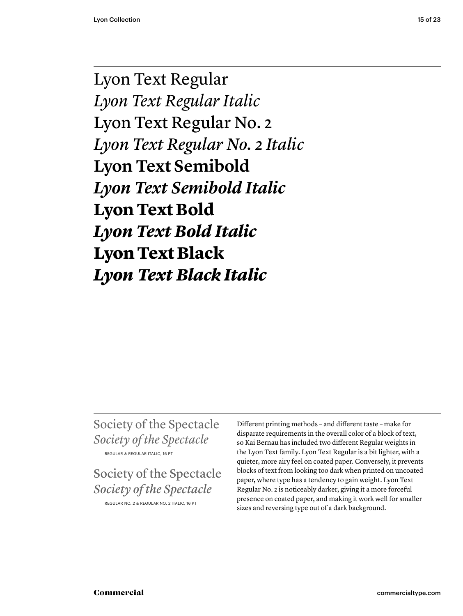Lyon Text Regular *Lyon Text Regular Italic* Lyon Text Regular No. 2 *Lyon Text Regular No. 2 Italic* **Lyon Text Semibold** *Lyon Text Semibold Italic* **Lyon Text Bold** *Lyon Text Bold Italic* Lyon Text Black *Lyon Text Black Italic*

Society of the Spectacle *Society of the Spectacle* REGULAR & REGULAR ITALIC, 16 PT

Society of the Spectacle *Society of the Spectacle*

REGULAR NO. 2 & REGULAR NO. 2 ITALIC, 16 PT

Different printing methods – and different taste – make for disparate requirements in the overall color of a block of text, so Kai Bernau has included two different Regular weights in the Lyon Text family. Lyon Text Regular is a bit lighter, with a quieter, more airy feel on coated paper. Conversely, it prevents blocks of text from looking too dark when printed on uncoated paper, where type has a tendency to gain weight. Lyon Text Regular No. 2 is noticeably darker, giving it a more forceful presence on coated paper, and making it work well for smaller sizes and reversing type out of a dark background.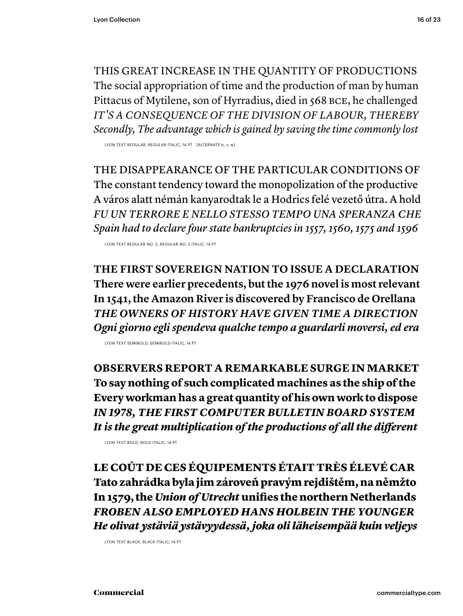THIS GREAT INCREASE IN THE QUANTITY OF PRODUCTIONS The social appropriation of time and the production of man by human Pittacus of Mytilene, son of Hyrradius, died in 568 BCE, he challenged *IT'S A CONSEQUENCE OF THE DIVISION OF LABOUR, THEREBY Secondly, The advantage which is gained by saving the time commonly lost*

LYON TEXT REGULAR, REGULAR ITALIC, 14 PT [ALTERNATE h, v, w]

THE DISAPPEARANCE OF THE PARTICULAR CONDITIONS OF The constant tendency toward the monopolization of the productive A város alatt némán kanyarodtak le a Hodrics felé vezető útra. A hold *FU UN TERRORE E NELLO STESSO TEMPO UNA SPERANZA CHE Spain had to declare four state bankruptcies in 1557, 1560, 1575 and 1596*

LYON TEXT REGULAR NO. 2, REGULAR NO. 2 ITALIC, 14 PT

**THE FIRST SOVEREIGN NATION TO ISSUE A DECLARATION There were earlier precedents, but the 1976 novel is most relevant In 1541, the Amazon River is discovered by Francisco de Orellana** *THE OWNERS OF HISTORY HAVE GIVEN TIME A DIRECTION Ogni giorno egli spendeva qualche tempo a guardarli moversi, ed era*

LYON TEXT SEMIBOLD, SEMIBOLD ITALIC, 14 PT

**OBSERVERS REPORT A REMARKABLE SURGE IN MARKET To say nothing of such complicated machines as the ship of the Every workman has a great quantity of his own work to dispose** *IN 1978, THE FIRST COMPUTER BULLETIN BOARD SYSTEM* It is the great multiplication of the productions of all the different

LYON TEXT BOLD, BOLD ITALIC, 14 PT

LE COÛT DE CES ÉQUIPEMENTS ÉTAIT TRÈS ÉLEVÉ CAR Tato zahrádka byla jim zároveň pravým rejdištěm, na němžto In 1579, the *Union of Utrecht* unifies the northern Netherlands *FROBEN ALSO EMPLOYED HANS HOLBEIN THE YOUNGER He olivat ystäviä ystävyydessä, joka oli läheisempää kuin veljeys*

LYON TEXT BLACK, BLACK ITALIC, 14 PT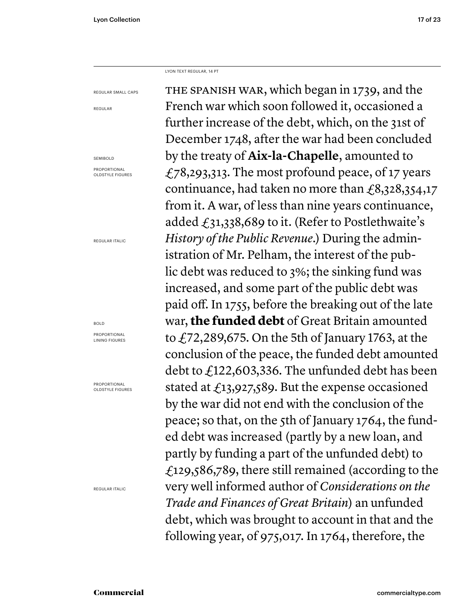LYON TEXT REGULAR, 14 PT

REGULAR SMALL CAPS

REGULAR

SEMIBOLD

PROPORTIONAL OLDSTYLE FIGURES

REGULAR ITALIC

## BOLD

PROPORTIONAL LINING FIGURES

PROPORTIONAL OLDSTYLE FIGURES

REGULAR ITALIC

THE SPANISH WAR, which began in 1739, and the French war which soon followed it, occasioned a further increase of the debt, which, on the 31st of December 1748, after the war had been concluded by the treaty of **Aix-la-Chapelle**, amounted to £78,293,313. The most profound peace, of 17 years continuance, had taken no more than  $\text{\textsterling}8,328,354,17$ from it. A war, of less than nine years continuance, added  $\text{\textsterling}31,338,689$  to it. (Refer to Postlethwaite's *History of the Public Revenue*.) During the administration of Mr. Pelham, the interest of the public debt was reduced to 3%; the sinking fund was increased, and some part of the public debt was paid off. In 1755, before the breaking out of the late war, **the funded debt** of Great Britain amounted to  $\angle$  72,289,675. On the 5th of January 1763, at the conclusion of the peace, the funded debt amounted debt to £122,603,336. The unfunded debt has been stated at £13,927,589. But the expense occasioned by the war did not end with the conclusion of the peace; so that, on the 5th of January 1764, the funded debt was increased (partly by a new loan, and partly by funding a part of the unfunded debt) to £129,586,789, there still remained (according to the very well informed author of *Considerations on the Trade and Finances of Great Britain*) an unfunded debt, which was brought to account in that and the following year, of 975,017. In 1764, therefore, the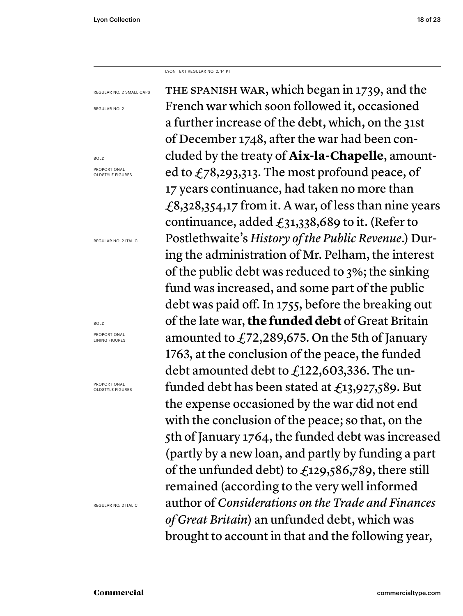LYON TEXT REGULAR NO. 2, 14 PT

REGULAR NO. 2 SMALL CAPS

REGULAR NO. 2

BOLD PROPORTIONAL OLDSTYLE FIGURES

REGULAR NO. 2 ITALIC

BOLD

PROPORTIONAL LINING FIGURES

PROPORTIONAL OLDSTYLE FIGURES

REGULAR NO. 2 ITALIC

THE SPANISH WAR, which began in 1739, and the French war which soon followed it, occasioned a further increase of the debt, which, on the 31st of December 1748, after the war had been concluded by the treaty of **Aix-la-Chapelle**, amounted to  $f_78,293,313$ . The most profound peace, of 17 years continuance, had taken no more than £8,328,354,17 from it. A war, of less than nine years continuance, added  $f_31,338,689$  to it. (Refer to Postlethwaite's *History of the Public Revenue*.) During the administration of Mr. Pelham, the interest of the public debt was reduced to 3%; the sinking fund was increased, and some part of the public debt was paid off. In 1755, before the breaking out of the late war, **the funded debt** of Great Britain amounted to £72,289,675. On the 5th of January 1763, at the conclusion of the peace, the funded debt amounted debt to £122,603,336. The unfunded debt has been stated at  $\text{\textsterling}13,927,589$ . But the expense occasioned by the war did not end with the conclusion of the peace; so that, on the 5th of January 1764, the funded debt was increased (partly by a new loan, and partly by funding a part of the unfunded debt) to  $f_{129,586,789}$ , there still remained (according to the very well informed author of *Considerations on the Trade and Finances of Great Britain*) an unfunded debt, which was brought to account in that and the following year,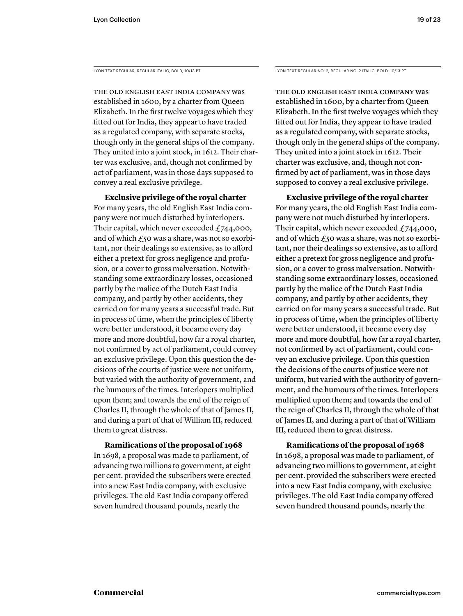THE OLD ENGLISH EAST INDIA COMPANY was established in 1600, by a charter from Queen Elizabeth. In the first twelve voyages which they fitted out for India, they appear to have traded as a regulated company, with separate stocks, though only in the general ships of the company. They united into a joint stock, in 1612. Their charter was exclusive, and, though not confirmed by act of parliament, was in those days supposed to convey a real exclusive privilege.

 **Exclusive privilege of the royal charter** For many years, the old English East India company were not much disturbed by interlopers. Their capital, which never exceeded  $f$ , 744,000, and of which  $\epsilon$ 50 was a share, was not so exorbitant, nor their dealings so extensive, as to afford either a pretext for gross negligence and profusion, or a cover to gross malversation. Notwithstanding some extraordinary losses, occasioned partly by the malice of the Dutch East India company, and partly by other accidents, they carried on for many years a successful trade. But in process of time, when the principles of liberty were better understood, it became every day more and more doubtful, how far a royal charter, not confirmed by act of parliament, could convey an exclusive privilege. Upon this question the decisions of the courts of justice were not uniform, but varied with the authority of government, and the humours of the times. Interlopers multiplied upon them; and towards the end of the reign of Charles II, through the whole of that of James II, and during a part of that of William III, reduced them to great distress.

# **Ramifications of the proposal of 1968**

In 1698, a proposal was made to parliament, of advancing two millions to government, at eight per cent. provided the subscribers were erected into a new East India company, with exclusive privileges. The old East India company offered seven hundred thousand pounds, nearly the

LYON TEXT REGULAR, REGULAR ITALIC, BOLD, 10/13 PT LYON TEXT REGULAR NO. 2, REGULAR NO. 2 ITALIC, BOLD, 10/13 PT

THE OLD ENGLISH EAST INDIA COMPANY was established in 1600, by a charter from Queen Elizabeth. In the first twelve voyages which they fitted out for India, they appear to have traded as a regulated company, with separate stocks, though only in the general ships of the company. They united into a joint stock in 1612. Their charter was exclusive, and, though not confirmed by act of parliament, was in those days supposed to convey a real exclusive privilege.

 **Exclusive privilege of the royal charter** For many years, the old English East India company were not much disturbed by interlopers. Their capital, which never exceeded  $f$ 744,000, and of which  $f_5$ o was a share, was not so exorbitant, nor their dealings so extensive, as to afford either a pretext for gross negligence and profusion, or a cover to gross malversation. Notwithstanding some extraordinary losses, occasioned partly by the malice of the Dutch East India company, and partly by other accidents, they carried on for many years a successful trade. But in process of time, when the principles of liberty were better understood, it became every day more and more doubtful, how far a royal charter, not confirmed by act of parliament, could convey an exclusive privilege. Upon this question the decisions of the courts of justice were not uniform, but varied with the authority of government, and the humours of the times. Interlopers multiplied upon them; and towards the end of the reign of Charles II, through the whole of that of James II, and during a part of that of William III, reduced them to great distress.

# **Ramifications of the proposal of 1968**

In 1698, a proposal was made to parliament, of advancing two millions to government, at eight per cent. provided the subscribers were erected into a new East India company, with exclusive privileges. The old East India company offered seven hundred thousand pounds, nearly the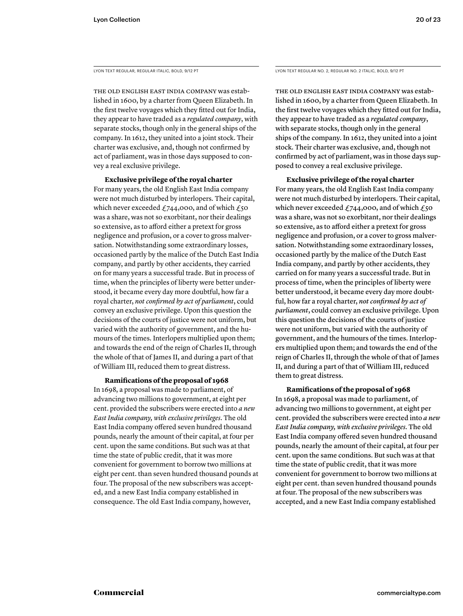LYON TEXT REGULAR, REGULAR ITALIC, BOLD, 9/12 PT

THE OLD ENGLISH EAST INDIA COMPANY was established in 1600, by a charter from Queen Elizabeth. In the first twelve voyages which they fitted out for India, they appear to have traded as a *regulated company*, with separate stocks, though only in the general ships of the company. In 1612, they united into a joint stock. Their charter was exclusive, and, though not confirmed by act of parliament, was in those days supposed to convey a real exclusive privilege.

 **Exclusive privilege of the royal charter** For many years, the old English East India company were not much disturbed by interlopers. Their capital, which never exceeded  $£744,000$ , and of which  $£50$ was a share, was not so exorbitant, nor their dealings so extensive, as to afford either a pretext for gross negligence and profusion, or a cover to gross malversation. Notwithstanding some extraordinary losses, occasioned partly by the malice of the Dutch East India company, and partly by other accidents, they carried on for many years a successful trade. But in process of time, when the principles of liberty were better understood, it became every day more doubtful, how far a royal charter, *not confirmed by act of parliament*, could convey an exclusive privilege. Upon this question the decisions of the courts of justice were not uniform, but varied with the authority of government, and the humours of the times. Interlopers multiplied upon them; and towards the end of the reign of Charles II, through the whole of that of James II, and during a part of that of William III, reduced them to great distress.

# **Ramifications of the proposal of 1968**

In 1698, a proposal was made to parliament, of advancing two millions to government, at eight per cent. provided the subscribers were erected into *a new East India company, with exclusive privileges*. The old East India company offered seven hundred thousand pounds, nearly the amount of their capital, at four per cent. upon the same conditions. But such was at that time the state of public credit, that it was more convenient for government to borrow two millions at eight per cent. than seven hundred thousand pounds at four. The proposal of the new subscribers was accepted, and a new East India company established in consequence. The old East India company, however,

LYON TEXT REGULAR NO. 2, REGULAR NO. 2 ITALIC, BOLD, 9/12 PT

THE OLD ENGLISH EAST INDIA COMPANY was established in 1600, by a charter from Queen Elizabeth. In the first twelve voyages which they fitted out for India, they appear to have traded as a *regulated company*, with separate stocks, though only in the general ships of the company. In 1612, they united into a joint stock. Their charter was exclusive, and, though not confirmed by act of parliament, was in those days supposed to convey a real exclusive privilege.

 **Exclusive privilege of the royal charter** For many years, the old English East India company were not much disturbed by interlopers. Their capital, which never exceeded  $£744,000$ , and of which  $£50$ was a share, was not so exorbitant, nor their dealings so extensive, as to afford either a pretext for gross negligence and profusion, or a cover to gross malversation. Notwithstanding some extraordinary losses, occasioned partly by the malice of the Dutch East India company, and partly by other accidents, they carried on for many years a successful trade. But in process of time, when the principles of liberty were better understood, it became every day more doubtful, how far a royal charter, *not confirmed by act of parliament*, could convey an exclusive privilege. Upon this question the decisions of the courts of justice were not uniform, but varied with the authority of government, and the humours of the times. Interlopers multiplied upon them; and towards the end of the reign of Charles II, through the whole of that of James II, and during a part of that of William III, reduced them to great distress.

# **Ramifications of the proposal of 1968**

In 1698, a proposal was made to parliament, of advancing two millions to government, at eight per cent. provided the subscribers were erected into *a new East India company, with exclusive privileges*. The old East India company offered seven hundred thousand pounds, nearly the amount of their capital, at four per cent. upon the same conditions. But such was at that time the state of public credit, that it was more convenient for government to borrow two millions at eight per cent. than seven hundred thousand pounds at four. The proposal of the new subscribers was accepted, and a new East India company established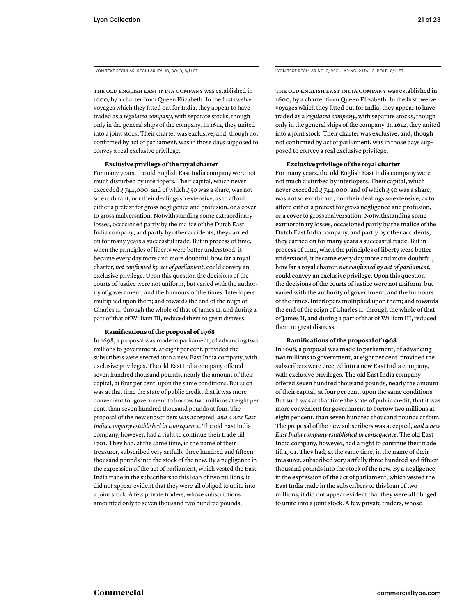LYON TEXT REGULAR, REGULAR ITALIC, BOLD, 8/11 PT

THE OLD ENGLISH EAST INDIA COMPANY was established in 1600, by a charter from Queen Elizabeth. In the first twelve voyages which they fitted out for India, they appear to have traded as a *regulated company*, with separate stocks, though only in the general ships of the company. In 1612, they united into a joint stock. Their charter was exclusive, and, though not confirmed by act of parliament, was in those days supposed to convey a real exclusive privilege.

## **Exclusive privilege of the royal charter**

For many years, the old English East India company were not much disturbed by interlopers. Their capital, which never exceeded  $£744,000$ , and of which  $£50$  was a share, was not so exorbitant, nor their dealings so extensive, as to afford either a pretext for gross negligence and profusion, or a cover to gross malversation. Notwithstanding some extraordinary losses, occasioned partly by the malice of the Dutch East India company, and partly by other accidents, they carried on for many years a successful trade. But in process of time, when the principles of liberty were better understood, it became every day more and more doubtful, how far a royal charter, *not confirmed by act of parliament*, could convey an exclusive privilege. Upon this question the decisions of the courts of justice were not uniform, but varied with the authority of government, and the humours of the times. Interlopers multiplied upon them; and towards the end of the reign of Charles II, through the whole of that of James II, and during a part of that of William III, reduced them to great distress.

# **Ramifi cations of the proposal of 1968**

In 1698, a proposal was made to parliament, of advancing two millions to government, at eight per cent. provided the subscribers were erected into a new East India company, with exclusive privileges. The old East India company offered seven hundred thousand pounds, nearly the amount of their capital, at four per cent. upon the same conditions. But such was at that time the state of public credit, that it was more convenient for government to borrow two millions at eight per cent. than seven hundred thousand pounds at four. The proposal of the new subscribers was accepted, *and a new East India company established in consequence*. The old East India company, however, had a right to continue their trade till 1701. They had, at the same time, in the name of their treasurer, subscribed very artfully three hundred and fifteen thousand pounds into the stock of the new. By a negligence in the expression of the act of parliament, which vested the East India trade in the subscribers to this loan of two millions, it did not appear evident that they were all obliged to unite into a joint stock. A few private traders, whose subscriptions amounted only to seven thousand two hundred pounds,

LYON TEXT REGULAR NO. 2, REGULAR NO. 2 ITALIC, BOLD, 8/11 PT

THE OLD ENGLISH EAST INDIA COMPANY was established in 1600, by a charter from Queen Elizabeth. In the first twelve voyages which they fitted out for India, they appear to have traded as a *regulated company*, with separate stocks, though only in the general ships of the company. In 1612, they united into a joint stock. Their charter was exclusive, and, though not confirmed by act of parliament, was in those days supposed to convey a real exclusive privilege.

## **Exclusive privilege of the royal charter**

For many years, the old English East India company were not much disturbed by interlopers. Their capital, which never exceeded  $£744,000$ , and of which  $£50$  was a share, was not so exorbitant, nor their dealings so extensive, as to afford either a pretext for gross negligence and profusion, or a cover to gross malversation. Notwithstanding some extraordinary losses, occasioned partly by the malice of the Dutch East India company, and partly by other accidents, they carried on for many years a successful trade. But in process of time, when the principles of liberty were better understood, it became every day more and more doubtful, how far a royal charter, *not confirmed by act of parliament*, could convey an exclusive privilege. Upon this question the decisions of the courts of justice were not uniform, but varied with the authority of government, and the humours of the times. Interlopers multiplied upon them; and towards the end of the reign of Charles II, through the whole of that of James II, and during a part of that of William III, reduced them to great distress.

# **Ramifications of the proposal of 1968**

In 1698, a proposal was made to parliament, of advancing two millions to government, at eight per cent. provided the subscribers were erected into a new East India company, with exclusive privileges. The old East India company offered seven hundred thousand pounds, nearly the amount of their capital, at four per cent. upon the same conditions. But such was at that time the state of public credit, that it was more convenient for government to borrow two millions at eight per cent. than seven hundred thousand pounds at four. The proposal of the new subscribers was accepted, *and a new East India company established in consequence*. The old East India company, however, had a right to continue their trade till 1701. They had, at the same time, in the name of their treasurer, subscribed very artfully three hundred and fifteen thousand pounds into the stock of the new. By a negligence in the expression of the act of parliament, which vested the East India trade in the subscribers to this loan of two millions, it did not appear evident that they were all obliged to unite into a joint stock. A few private traders, whose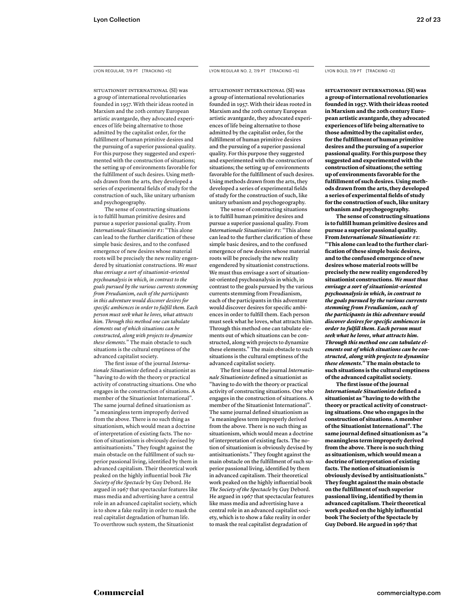SITUATIONIST INTERNATIONAL (SI) was a group of international revolutionaries founded in 1957. With their ideas rooted in Marxism and the 20th century European artistic avantgarde, they advocated experiences of life being alternative to those admitted by the capitalist order, for the fulfillment of human primitive desires and the pursuing of a superior passional quality. For this purpose they suggested and experimented with the construction of situations; the setting up of environments favorable for the fulfillment of such desires. Using methods drawn from the arts, they developed a series of experimental fields of study for the construction of such, like unitary urbanism and psychogeography.

 The sense of constructing situations is to fulfill human primitive desires and pursue a superior passional quality. From *Internationale Situationiste #1*: "This alone can lead to the further clarification of these simple basic desires, and to the confused emergence of new desires whose material roots will be precisely the new reality engendered by situationist constructions. *We must thus envisage a sort of situationist-oriented psychoanalysis in which, in contrast to the goals pursued by the various currents stemming from Freudianism, each of the participants in this adventure would discover desires for specifi c ambiences in order to fulfi ll them. Each person must seek what he loves, what attracts him. Through this method one can tabulate elements out of which situations can be constructed, along with projects to dynamize these elements.*" The main obstacle to such situations is the cultural emptiness of the advanced capitalist society.

The first issue of the journal *Internationale Situationiste* defined a situationist as "having to do with the theory or practical activity of constructing situations. One who engages in the construction of situations. A member of the Situationist International". The same journal defined situationism as "a meaningless term improperly derived from the above. There is no such thing as situationism, which would mean a doctrine of interpretation of existing facts. The notion of situationism is obviously devised by antisituationists." They fought against the main obstacle on the fulfillment of such superior passional living, identified by them in advanced capitalism. Their theoretical work peaked on the highly influential book The *Society of the Spectacle* by Guy Debord. He argued in 1967 that spectacular features like mass media and advertising have a central role in an advanced capitalist society, which is to show a fake reality in order to mask the real capitalist degradation of human life. To overthrow such system, the Situationist

# LYON REGULAR, 7/9 PT [TRACKING +5] LYON REGULAR NO. 2, 7/9 PT [TRACKING +5]

SITUATIONIST INTERNATIONAL (SI) was a group of international revolutionaries founded in 1957. With their ideas rooted in Marxism and the 20th century European artistic avantgarde, they advocated experiences of life being alternative to those admitted by the capitalist order, for the fulfillment of human primitive desires and the pursuing of a superior passional quality. For this purpose they suggested and experimented with the construction of situations; the setting up of environments favorable for the fulfillment of such desires. Using methods drawn from the arts, they developed a series of experimental fields of study for the construction of such, like unitary urbanism and psychogeography.

 The sense of constructing situations is to fulfill human primitive desires and pursue a superior passional quality. From *Internationale Situationiste #1*: "This alone can lead to the further clarification of these simple basic desires, and to the confused emergence of new desires whose material roots will be precisely the new reality engendered by situationist constructions. We must thus envisage a sort of situationist-oriented psychoanalysis in which, in contrast to the goals pursued by the various currents stemming from Freudianism, each of the participants in this adventure would discover desires for specific ambiences in order to fulfill them. Each person must seek what he loves, what attracts him. Through this method one can tabulate elements out of which situations can be constructed, along with projects to dynamize these elements." The main obstacle to such situations is the cultural emptiness of the advanced capitalist society.

The first issue of the journal *Internationale Situationiste* defined a situationist as "having to do with the theory or practical activity of constructing situations. One who engages in the construction of situations. A member of the Situationist International". The same journal defined situationism as "a meaningless term improperly derived from the above. There is no such thing as situationism, which would mean a doctrine of interpretation of existing facts. The notion of situationism is obviously devised by antisituationists." They fought against the main obstacle on the fulfillment of such superior passional living, identified by them in advanced capitalism. Their theoretical work peaked on the highly influential book *The Society of the Spectacle* by Guy Debord. He argued in 1967 that spectacular features like mass media and advertising have a central role in an advanced capitalist society, which is to show a fake reality in order to mask the real capitalist degradation of

## LYON BOLD, 7/9 PT [TRACKING +2]

**SITUATIONIST INTERNATIONAL (SI) was a group of international revolutionaries founded in 1957. With their ideas rooted in Marxism and the 20th century European artistic avantgarde, they advocated experiences of life being alternative to those admitted by the capitalist order, for the fulfi llment of human primitive desires and the pursuing of a superior passional quality. For this purpose they suggested and experimented with the construction of situations; the setting up of environments favorable for the fulfi llment of such desires. Using methods drawn from the arts, they developed**  a series of experimental fields of study **for the construction of such, like unitary urbanism and psychogeography.**

 **The sense of constructing situations**  is to fulfill human primitive desires and **pursue a superior passional quality. From** *Internationale Situationiste #1***: "This alone can lead to the further clarifi cation of these simple basic desires, and to the confused emergence of new desires whose material roots will be precisely the new reality engendered by situationist constructions.** *We must thus envisage a sort of situationist-oriented psychoanalysis in which, in contrast to the goals pursued by the various currents stemming from Freudianism, each of the participants in this adventure would discover desires for specifi c ambiences in order to fulfill them. Each person must seek what he loves, what attracts him. Through this method one can tabulate elements out of which situations can be constructed, along with projects to dynamize these elements.***" The main obstacle to such situations is the cultural emptiness of the advanced capitalist society.** 

The first issue of the journal *Internationale Situationiste* defined a **situationist as "having to do with the theory or practical activity of constructing situations. One who engages in the construction of situations. A member of the Situationist International". The**  same journal defined situationism as "a **meaningless term improperly derived from the above. There is no such thing as situationism, which would mean a doctrine of interpretation of existing facts. The notion of situationism is obviously devised by antisituationists." They fought against the main obstacle on the fulfi llment of such superior**  passional living, identified by them in **advanced capitalism. Their theoretical work peaked on the highly infl uential book The Society of the Spectacle by Guy Debord. He argued in 1967 that**